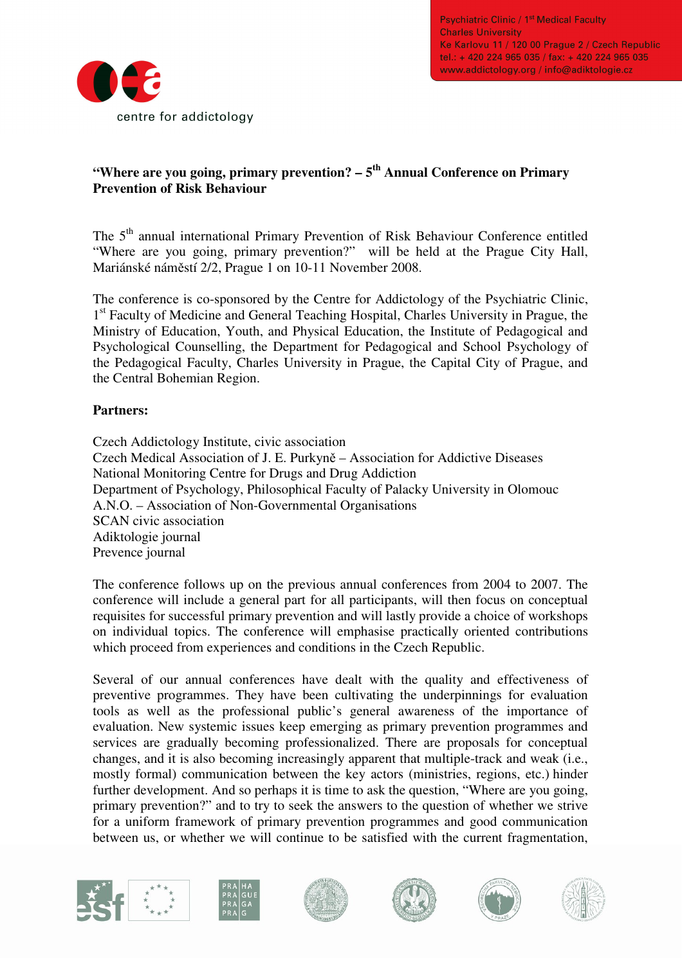

# **"Where are you going, primary prevention? – 5th Annual Conference on Primary Prevention of Risk Behaviour**

The 5<sup>th</sup> annual international Primary Prevention of Risk Behaviour Conference entitled "Where are you going, primary prevention?" will be held at the Prague City Hall, Mariánské náměstí 2/2, Prague 1 on 10-11 November 2008.

The conference is co-sponsored by the Centre for Addictology of the Psychiatric Clinic, 1<sup>st</sup> Faculty of Medicine and General Teaching Hospital, Charles University in Prague, the Ministry of Education, Youth, and Physical Education, the Institute of Pedagogical and Psychological Counselling, the Department for Pedagogical and School Psychology of the Pedagogical Faculty, Charles University in Prague, the Capital City of Prague, and the Central Bohemian Region.

## **Partners:**

Czech Addictology Institute, civic association Czech Medical Association of J. E. Purkyně – Association for Addictive Diseases National Monitoring Centre for Drugs and Drug Addiction Department of Psychology, Philosophical Faculty of Palacky University in Olomouc A.N.O. – Association of Non-Governmental Organisations SCAN civic association Adiktologie journal Prevence journal

The conference follows up on the previous annual conferences from 2004 to 2007. The conference will include a general part for all participants, will then focus on conceptual requisites for successful primary prevention and will lastly provide a choice of workshops on individual topics. The conference will emphasise practically oriented contributions which proceed from experiences and conditions in the Czech Republic.

Several of our annual conferences have dealt with the quality and effectiveness of preventive programmes. They have been cultivating the underpinnings for evaluation tools as well as the professional public's general awareness of the importance of evaluation. New systemic issues keep emerging as primary prevention programmes and services are gradually becoming professionalized. There are proposals for conceptual changes, and it is also becoming increasingly apparent that multiple-track and weak (i.e., mostly formal) communication between the key actors (ministries, regions, etc.) hinder further development. And so perhaps it is time to ask the question, "Where are you going, primary prevention?" and to try to seek the answers to the question of whether we strive for a uniform framework of primary prevention programmes and good communication between us, or whether we will continue to be satisfied with the current fragmentation,











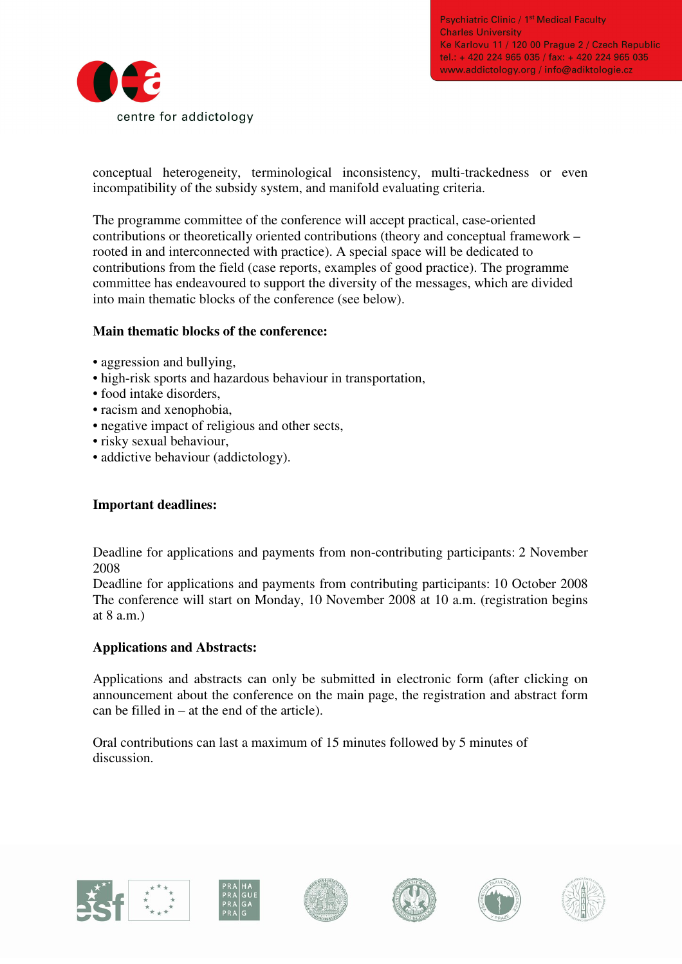**Psychiatric Clinic / 1st Medical Faculty Charles University** Ke Karlovu 11 / 120 00 Prague 2 / Czech Republic tel.: + 420 224 965 035 / fax: + 420 224 965 035 www.addictology.org / info@adiktologie.cz



conceptual heterogeneity, terminological inconsistency, multi-trackedness or even incompatibility of the subsidy system, and manifold evaluating criteria.

The programme committee of the conference will accept practical, case-oriented contributions or theoretically oriented contributions (theory and conceptual framework – rooted in and interconnected with practice). A special space will be dedicated to contributions from the field (case reports, examples of good practice). The programme committee has endeavoured to support the diversity of the messages, which are divided into main thematic blocks of the conference (see below).

## **Main thematic blocks of the conference:**

- aggression and bullying,
- high-risk sports and hazardous behaviour in transportation,
- food intake disorders,
- racism and xenophobia,
- negative impact of religious and other sects,
- risky sexual behaviour,
- addictive behaviour (addictology).

## **Important deadlines:**

Deadline for applications and payments from non-contributing participants: 2 November 2008

Deadline for applications and payments from contributing participants: 10 October 2008 The conference will start on Monday, 10 November 2008 at 10 a.m. (registration begins at 8 a.m.)

## **Applications and Abstracts:**

Applications and abstracts can only be submitted in electronic form (after clicking on announcement about the conference on the main page, the registration and abstract form can be filled in – at the end of the article).

Oral contributions can last a maximum of 15 minutes followed by 5 minutes of discussion.